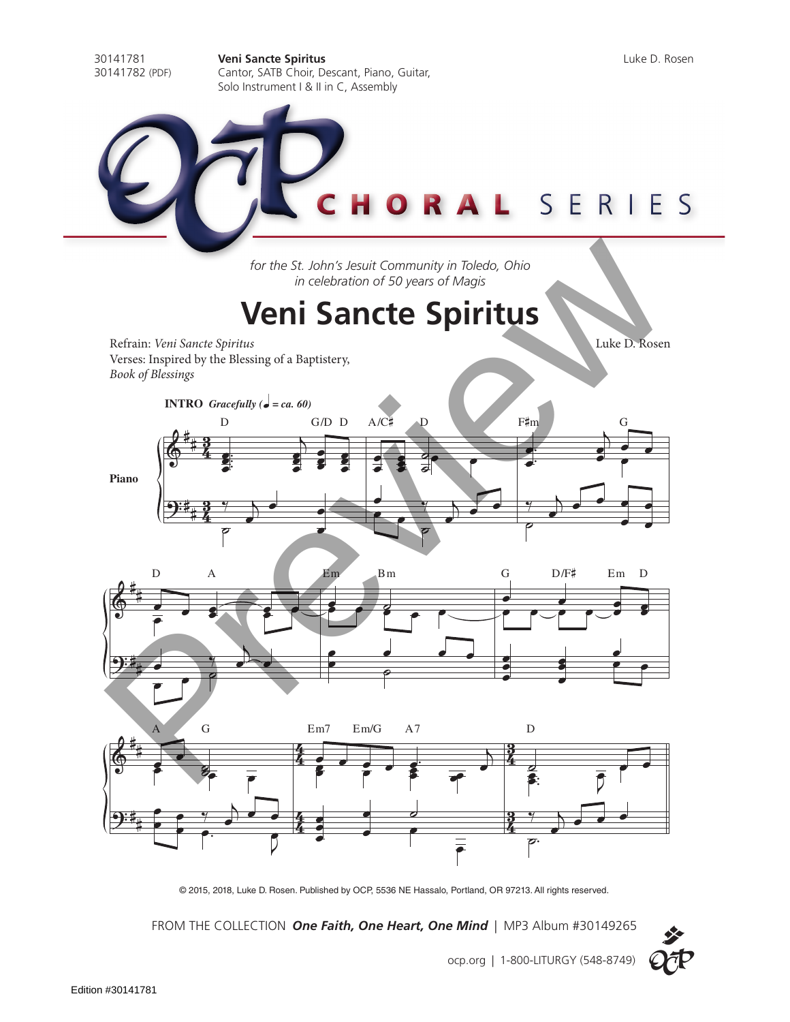SERIES

30141781 **Veni Sancte Spiritus** Luke D. Rosen Cantor, SATB Choir, Descant, Piano, Guitar, Solo Instrument I & II in C, Assembly

*for the St. John's Jesuit Community in Toledo, Ohio*

*in celebration of 50 years of Magis*

## **Veni Sancte Spiritus**

Refrain: *Veni Sancte Spiritus* Luke D. Rosen Verses: Inspired by the Blessing of a Baptistery, *Book of Blessings* **INTRO** *Gracefully (*q *= ca. 60)*







© 2015, 2018, Luke D. Rosen. Published by OCP, 5536 NE Hassalo, Portland, OR 97213. All rights reserved.

FROM THE COLLECTION *One Faith, One Heart, One Mind* | MP3 Album #30149265



ocp.org | 1-800-LITURGY (548-8749)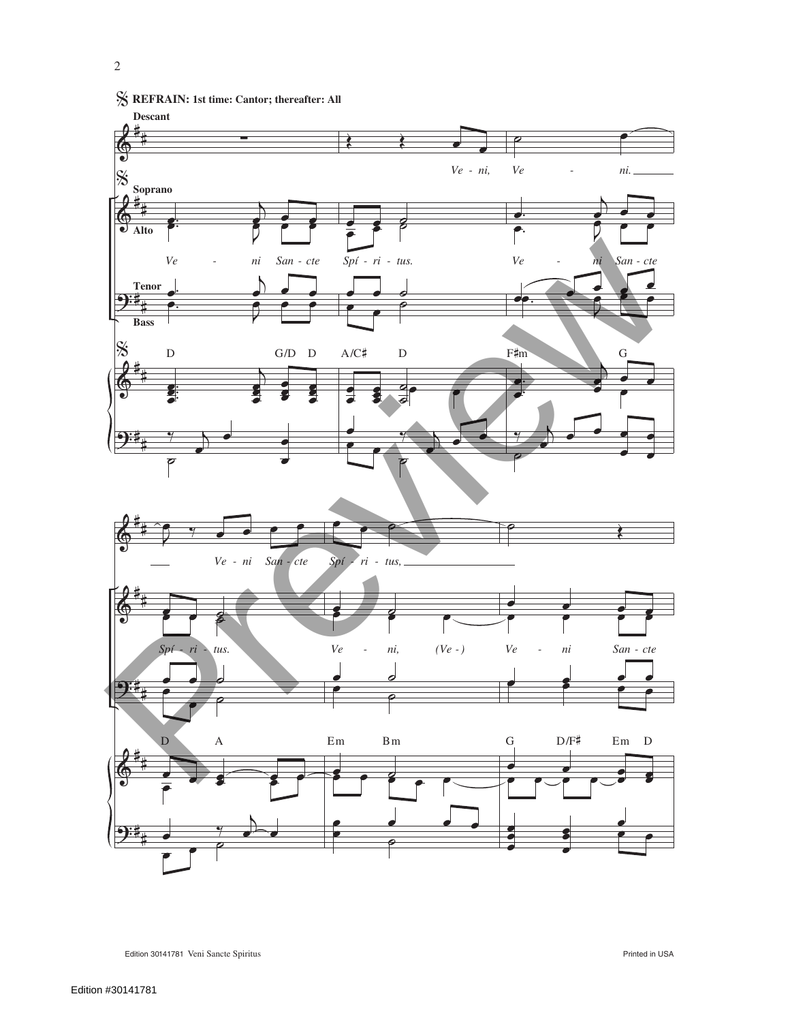

## % **REFRAIN: 1st time: Cantor; thereafter: All**



Edition 30141781 Veni Sancte Spiritus Printed in USA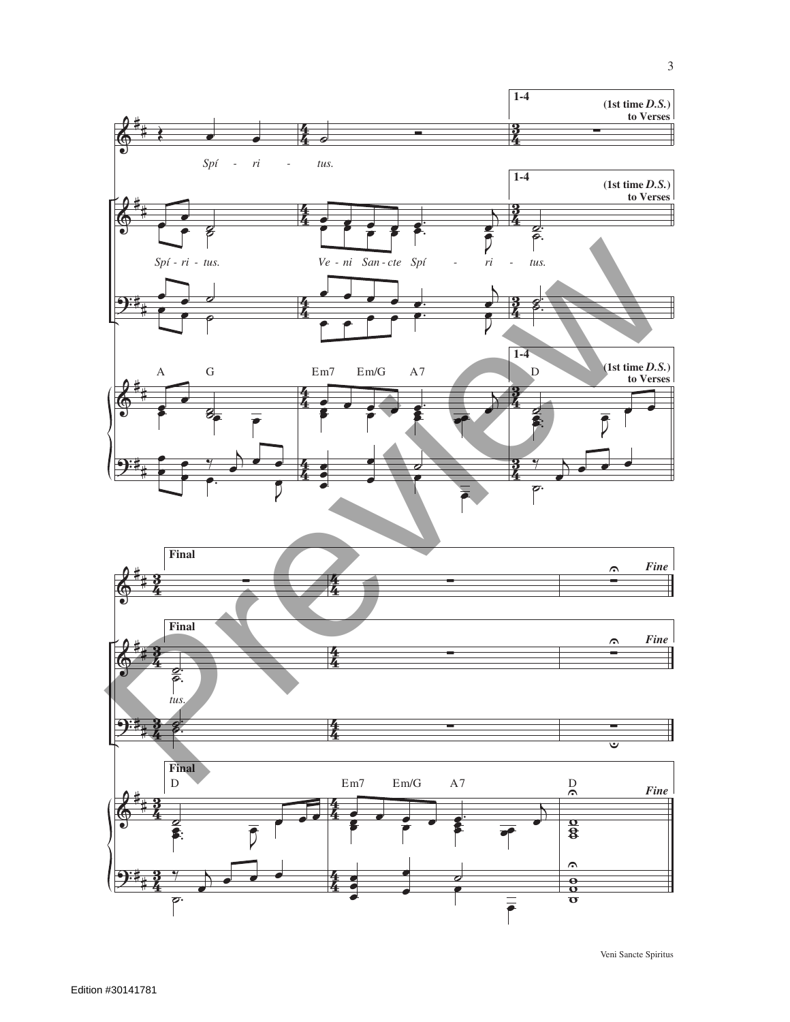

3

Veni Sancte Spiritus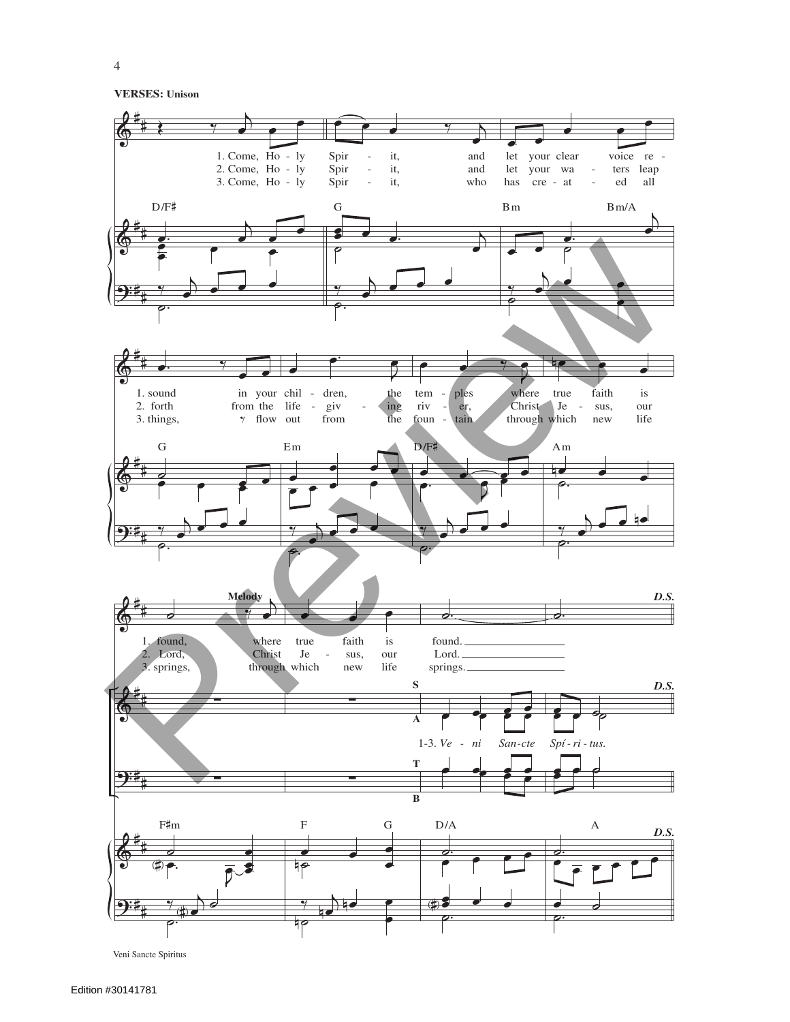**VERSES: Unison**



Veni Sancte Spiritus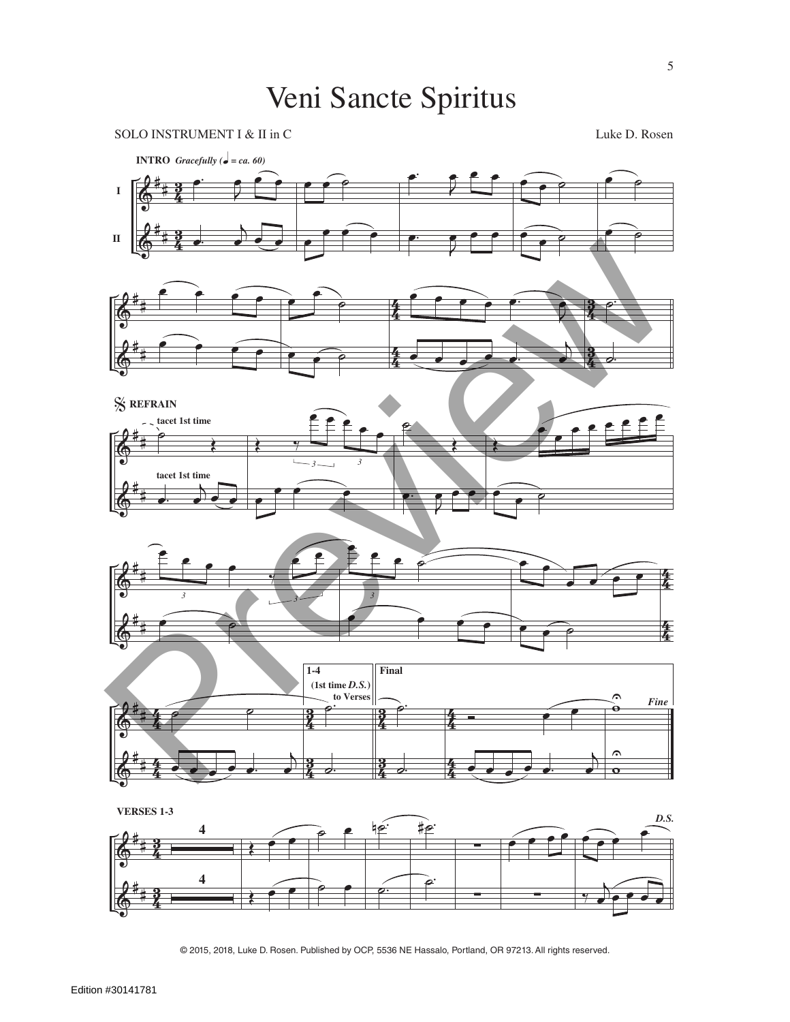## Veni Sancte Spiritus

SOLO INSTRUMENT I & II in C Luke D. Rosen









**VERSES 1-3**

**II**



© 2015, 2018, Luke D. Rosen. Published by OCP, 5536 NE Hassalo, Portland, OR 97213. All rights reserved.

 $\begin{array}{c}\n\bullet \\
\hline\n\end{array}$ 

 $\begin{array}{c}\n\bullet \\
\bullet\n\end{array}$ 

 $\frac{3}{4}$ **3**  **ِ.**<br>ا⊗

˙.

è

œ

3<br>4 <u>ទ្</u>

 $\bigcirc$ 

 $\bigcirc$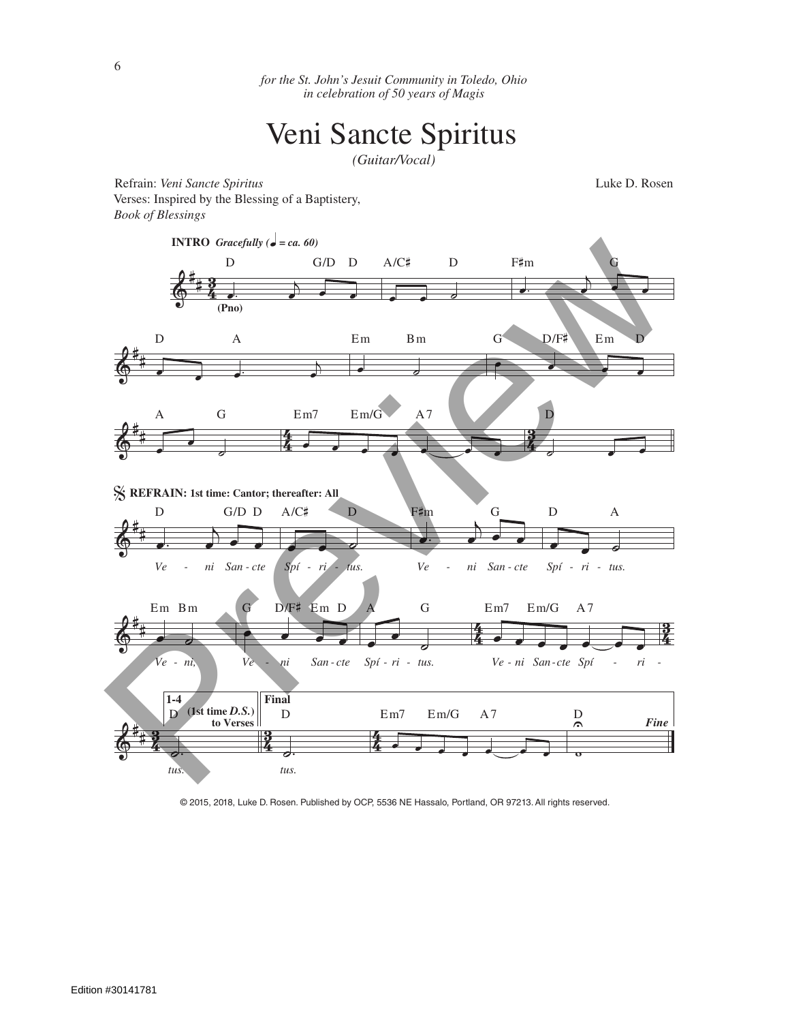*for the St. John's Jesuit Community in Toledo, Ohio in celebration of 50 years of Magis*

## Veni Sancte Spiritus

*(Guitar/Vocal)*

Refrain: *Veni Sancte Spiritus* Luke D. Rosen Verses: Inspired by the Blessing of a Baptistery, *Book of Blessings*



© 2015, 2018, Luke D. Rosen. Published by OCP, 5536 NE Hassalo, Portland, OR 97213. All rights reserved.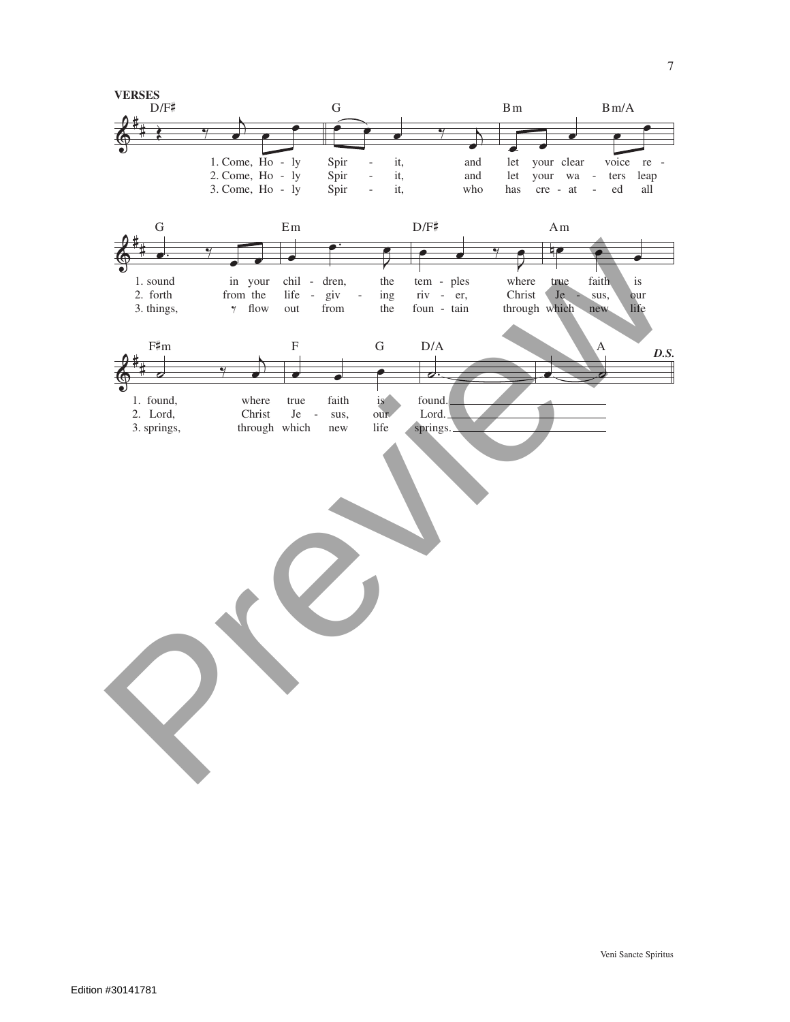